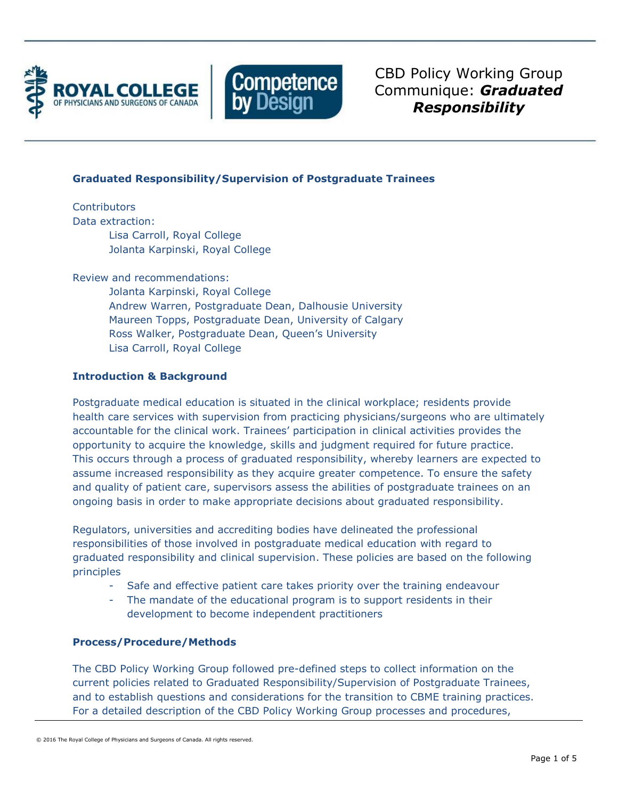



CBD Policy Working Group Communique: *Graduated Responsibility* 

## **Graduated Responsibility/Supervision of Postgraduate Trainees**

**Contributors** Data extraction: Lisa Carroll, Royal College Jolanta Karpinski, Royal College

Review and recommendations:

Jolanta Karpinski, Royal College Andrew Warren, Postgraduate Dean, Dalhousie University Maureen Topps, Postgraduate Dean, University of Calgary Ross Walker, Postgraduate Dean, Queen's University Lisa Carroll, Royal College

# **Introduction & Background**

Postgraduate medical education is situated in the clinical workplace; residents provide health care services with supervision from practicing physicians/surgeons who are ultimately accountable for the clinical work. Trainees' participation in clinical activities provides the opportunity to acquire the knowledge, skills and judgment required for future practice. This occurs through a process of graduated responsibility, whereby learners are expected to assume increased responsibility as they acquire greater competence. To ensure the safety and quality of patient care, supervisors assess the abilities of postgraduate trainees on an ongoing basis in order to make appropriate decisions about graduated responsibility.

Regulators, universities and accrediting bodies have delineated the professional responsibilities of those involved in postgraduate medical education with regard to graduated responsibility and clinical supervision. These policies are based on the following principles

- Safe and effective patient care takes priority over the training endeavour
- The mandate of the educational program is to support residents in their development to become independent practitioners

## **Process/Procedure/Methods**

The CBD Policy Working Group followed pre-defined steps to collect information on the current policies related to Graduated Responsibility/Supervision of Postgraduate Trainees, and to establish questions and considerations for the transition to CBME training practices. For a detailed description of the CBD Policy Working Group processes and procedures,

<sup>© 2016</sup> The Royal College of Physicians and Surgeons of Canada. All rights reserved.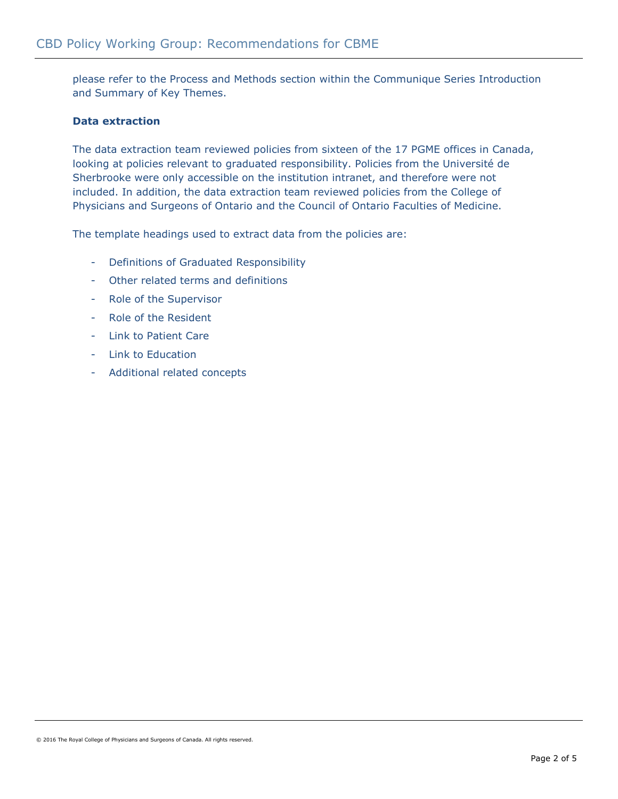please refer to the Process and Methods section within the Communique Series Introduction and Summary of Key Themes.

## **Data extraction**

The data extraction team reviewed policies from sixteen of the 17 PGME offices in Canada, looking at policies relevant to graduated responsibility. Policies from the Université de Sherbrooke were only accessible on the institution intranet, and therefore were not included. In addition, the data extraction team reviewed policies from the College of Physicians and Surgeons of Ontario and the Council of Ontario Faculties of Medicine.

The template headings used to extract data from the policies are:

- Definitions of Graduated Responsibility
- Other related terms and definitions
- Role of the Supervisor
- Role of the Resident
- Link to Patient Care
- Link to Education
- Additional related concepts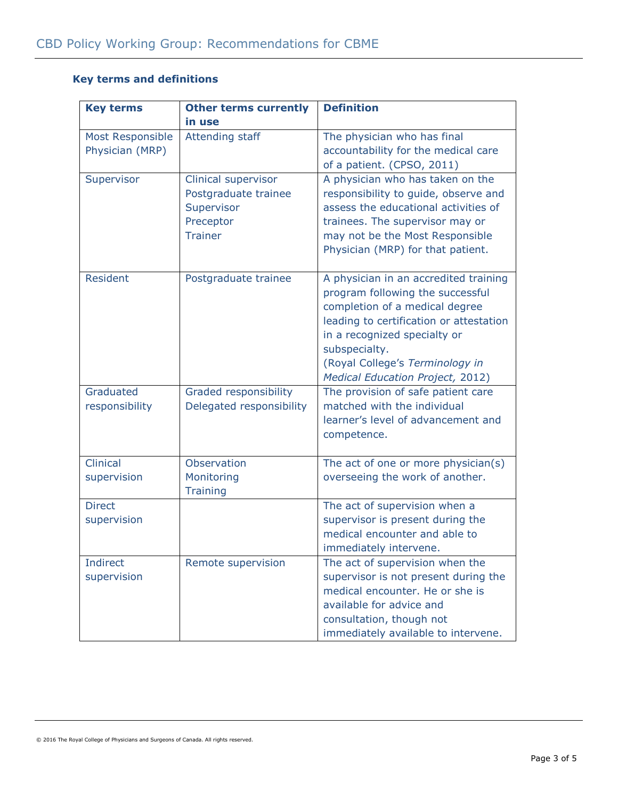# **Key terms and definitions**

| <b>Key terms</b>                    | <b>Other terms currently</b>                                                             | <b>Definition</b>                                                                                                                                                                                                                                                              |
|-------------------------------------|------------------------------------------------------------------------------------------|--------------------------------------------------------------------------------------------------------------------------------------------------------------------------------------------------------------------------------------------------------------------------------|
|                                     | in use                                                                                   |                                                                                                                                                                                                                                                                                |
| Most Responsible<br>Physician (MRP) | <b>Attending staff</b>                                                                   | The physician who has final<br>accountability for the medical care<br>of a patient. (CPSO, 2011)                                                                                                                                                                               |
| Supervisor                          | Clinical supervisor<br>Postgraduate trainee<br>Supervisor<br>Preceptor<br><b>Trainer</b> | A physician who has taken on the<br>responsibility to guide, observe and<br>assess the educational activities of<br>trainees. The supervisor may or<br>may not be the Most Responsible<br>Physician (MRP) for that patient.                                                    |
| <b>Resident</b>                     | Postgraduate trainee                                                                     | A physician in an accredited training<br>program following the successful<br>completion of a medical degree<br>leading to certification or attestation<br>in a recognized specialty or<br>subspecialty.<br>(Royal College's Terminology in<br>Medical Education Project, 2012) |
| Graduated<br>responsibility         | Graded responsibility<br>Delegated responsibility                                        | The provision of safe patient care<br>matched with the individual<br>learner's level of advancement and<br>competence.                                                                                                                                                         |
| Clinical<br>supervision             | Observation<br>Monitoring<br><b>Training</b>                                             | The act of one or more physician(s)<br>overseeing the work of another.                                                                                                                                                                                                         |
| <b>Direct</b><br>supervision        |                                                                                          | The act of supervision when a<br>supervisor is present during the<br>medical encounter and able to<br>immediately intervene.                                                                                                                                                   |
| <b>Indirect</b><br>supervision      | Remote supervision                                                                       | The act of supervision when the<br>supervisor is not present during the<br>medical encounter. He or she is<br>available for advice and<br>consultation, though not<br>immediately available to intervene.                                                                      |

<sup>© 2016</sup> The Royal College of Physicians and Surgeons of Canada. All rights reserved.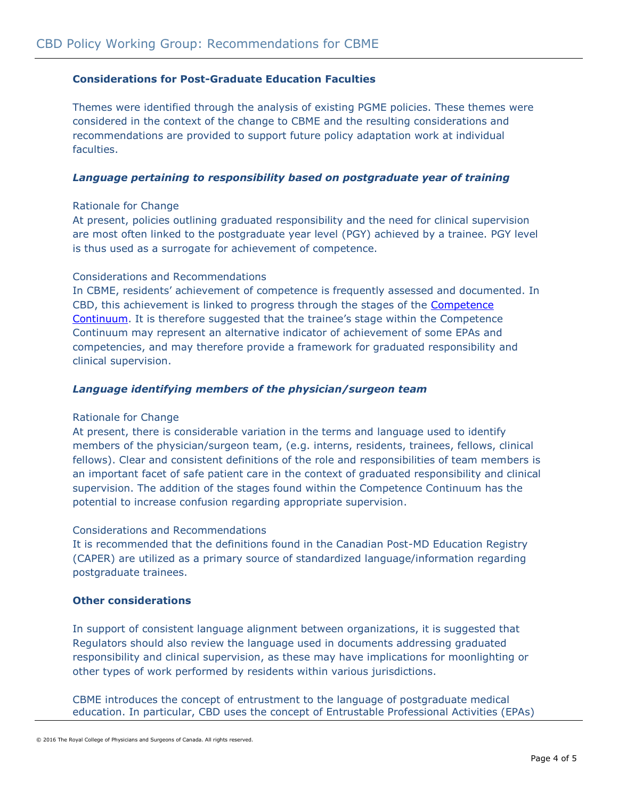## **Considerations for Post-Graduate Education Faculties**

Themes were identified through the analysis of existing PGME policies. These themes were considered in the context of the change to CBME and the resulting considerations and recommendations are provided to support future policy adaptation work at individual faculties.

## *Language pertaining to responsibility based on postgraduate year of training*

## Rationale for Change

At present, policies outlining graduated responsibility and the need for clinical supervision are most often linked to the postgraduate year level (PGY) achieved by a trainee. PGY level is thus used as a surrogate for achievement of competence.

### Considerations and Recommendations

In CBME, residents' achievement of competence is frequently assessed and documented. In CBD, this achievement is linked to progress through the stages of the **Competence** [Continuum.](http://www.royalcollege.ca/portal/page/portal/rc/common/documents/canmeds/framework/competence_continuum_diagram_e.pdf) It is therefore suggested that the trainee's stage within the Competence Continuum may represent an alternative indicator of achievement of some EPAs and competencies, and may therefore provide a framework for graduated responsibility and clinical supervision.

### *Language identifying members of the physician/surgeon team*

#### Rationale for Change

At present, there is considerable variation in the terms and language used to identify members of the physician/surgeon team, (e.g. interns, residents, trainees, fellows, clinical fellows). Clear and consistent definitions of the role and responsibilities of team members is an important facet of safe patient care in the context of graduated responsibility and clinical supervision. The addition of the stages found within the Competence Continuum has the potential to increase confusion regarding appropriate supervision.

#### Considerations and Recommendations

It is recommended that the definitions found in the Canadian Post-MD Education Registry (CAPER) are utilized as a primary source of standardized language/information regarding postgraduate trainees.

#### **Other considerations**

In support of consistent language alignment between organizations, it is suggested that Regulators should also review the language used in documents addressing graduated responsibility and clinical supervision, as these may have implications for moonlighting or other types of work performed by residents within various jurisdictions.

CBME introduces the concept of entrustment to the language of postgraduate medical education. In particular, CBD uses the concept of Entrustable Professional Activities (EPAs)